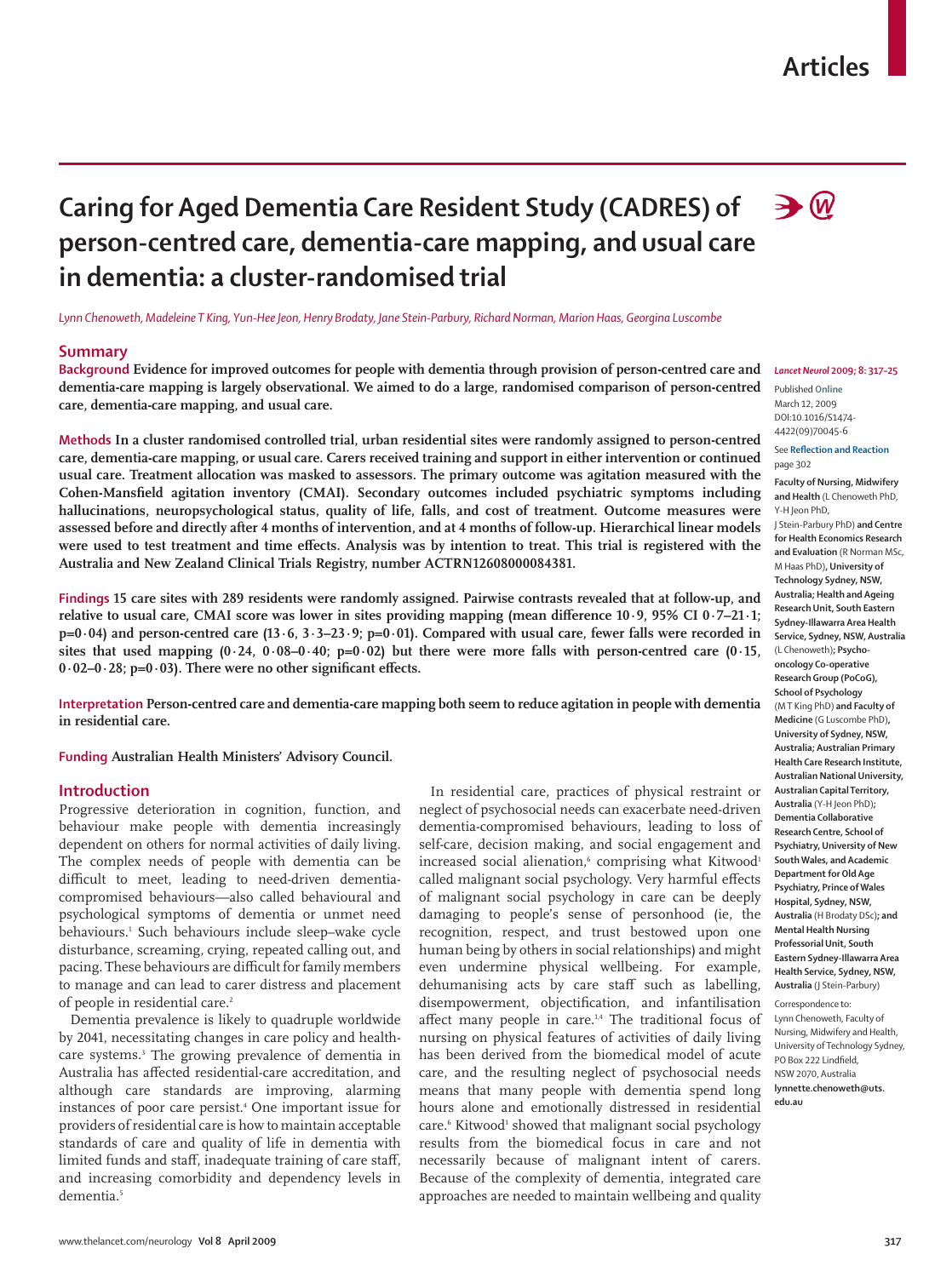# **Caring for Aged Dementia Care Resident Study (CADRES) of**   $\rightarrow \omega$ **person-centred care, dementia-care mapping, and usual care in dementia: a cluster-randomised trial**

*Lynn Chenoweth, Madeleine T King, Yun-Hee Jeon, Henry Brodaty, Jane Stein-Parbury, Richard Norman, Marion Haas, Georgina Luscombe* 

### **Summary**

**Background Evidence for improved outcomes for people with dementia through provision of person-centred care and dementia-care mapping is largely observational. We aimed to do a large, randomised comparison of person-centred care, dementia-care mapping, and usual care.**

**Methods In a cluster randomised controlled trial, urban residential sites were randomly assigned to person-centred care, dementia-care mapping, or usual care. Carers received training and support in either intervention or continued usual care. Treatment allocation was masked to assessors. The primary outcome was agitation measured with the Cohen-Mansfield agitation inventory (CMAI). Secondary outcomes included psychiatric symptoms including hallucinations, neuropsychological status, quality of life, falls, and cost of treatment. Outcome measures were assessed before and directly after 4 months of intervention, and at 4 months of follow-up. Hierarchical linear models were used to test treatment and time effects. Analysis was by intention to treat. This trial is registered with the Australia and New Zealand Clinical Trials Registry, number ACTRN12608000084381.** 

**Findings 15 care sites with 289 residents were randomly assigned. Pairwise contrasts revealed that at follow-up, and**  relative to usual care, CMAI score was lower in sites providing mapping (mean difference 10·9, 95% CI 0·7–21·1; **p=0·04) and person-centred care (13·6, 3·3–23·9; p=0·01). Compared with usual care, fewer falls were recorded in**  sites that used mapping  $(0.24, 0.08-0.40; p=0.02)$  but there were more falls with person-centred care  $(0.15,$  $0.02-0.28$ ;  $p=0.03$ ). There were no other significant effects.

**Interpretation Person-centred care and dementia-care mapping both seem to reduce agitation in people with dementia in residential care.** 

**Funding Australian Health Ministers' Advisory Council.**

#### **Introduction**

Progressive deterioration in cognition, function, and behaviour make people with dementia increasingly dependent on others for normal activities of daily living. The complex needs of people with dementia can be difficult to meet, leading to need-driven dementiacompromised behaviours—also called behavioural and psychological symptoms of dementia or unmet need behaviours.1 Such behaviours include sleep–wake cycle disturbance, screaming, crying, repeated calling out, and pacing. These behaviours are difficult for family members to manage and can lead to carer distress and placement of people in residential care.<sup>2</sup>

Dementia prevalence is likely to quadruple worldwide by 2041, necessitating changes in care policy and healthcare systems.<sup>3</sup> The growing prevalence of dementia in Australia has affected residential-care accreditation, and although care standards are improving, alarming instances of poor care persist.4 One important issue for providers of residential care is how to maintain acceptable standards of care and quality of life in dementia with limited funds and staff, inadequate training of care staff, and increasing comorbidity and dependency levels in dementia.<sup>5</sup>

In residential care, practices of physical restraint or neglect of psychosocial needs can exacerbate need-driven dementia-compromised behaviours, leading to loss of self-care, decision making, and social engagement and increased social alienation,<sup>6</sup> comprising what Kitwood<sup>1</sup> called malignant social psychology. Very harmful effects of malignant social psychology in care can be deeply damaging to people's sense of personhood (ie, the recognition, respect, and trust bestowed upon one human being by others in social relationships) and might even undermine physical wellbeing. For example, dehumanising acts by care staff such as labelling, disempowerment, objectification, and infantilisation affect many people in care.<sup>1,4</sup> The traditional focus of nursing on physical features of activities of daily living has been derived from the biomedical model of acute care, and the resulting neglect of psychosocial needs means that many people with dementia spend long hours alone and emotionally distressed in residential care.<sup>6</sup> Kitwood<sup>1</sup> showed that malignant social psychology results from the biomedical focus in care and not necessarily because of malignant intent of carers. Because of the complexity of dementia, integrated care approaches are needed to maintain wellbeing and quality

#### *Lancet Neurol* **2009; 8: 317–25**

Published **Online** March 12, 2009 DOI:10.1016/S1474- 4422(09)70045-6

#### **See Reflection and Reaction** page 302

**Faculty of Nursing, Midwifery and Health** (L Chenoweth PhD, Y-H Jeon PhD,

J Stein-Parbury PhD) **and Centre for Health Economics Research and Evaluation** (R Norman MSc, M Haas PhD)**, University of Technology Sydney, NSW, Australia; Health and Ageing Research Unit, South Eastern Sydney-Illawarra Area Health Service, Sydney, NSW, Australia** (L Chenoweth)**; Psychooncology Co-operative Research Group (PoCoG), School of Psychology**  (M T King PhD) **and Faculty of Medicine** (G Luscombe PhD)**, University of Sydney, NSW, Australia; Australian Primary Health Care Research Institute, Australian National University, Australian Capital Territory, Australia** (Y-H Jeon PhD)**; Dementia Collaborative Research Centre, School of Psychiatry, University of New South Wales, and Academic Department for Old Age Psychiatry, Prince of Wales Hospital, Sydney, NSW, Australia** (H Brodaty DSc)**; and Mental Health Nursing Professorial Unit, South Eastern Sydney-Illawarra Area Health Service, Sydney, NSW, Australia** (J Stein-Parbury)

Correspondence to: Lynn Chenoweth, Faculty of Nursing, Midwifery and Health, University of Technology Sydney, PO Box 222 Lindfield. NSW 2070, Australia **lynnette.chenoweth@uts. edu.au**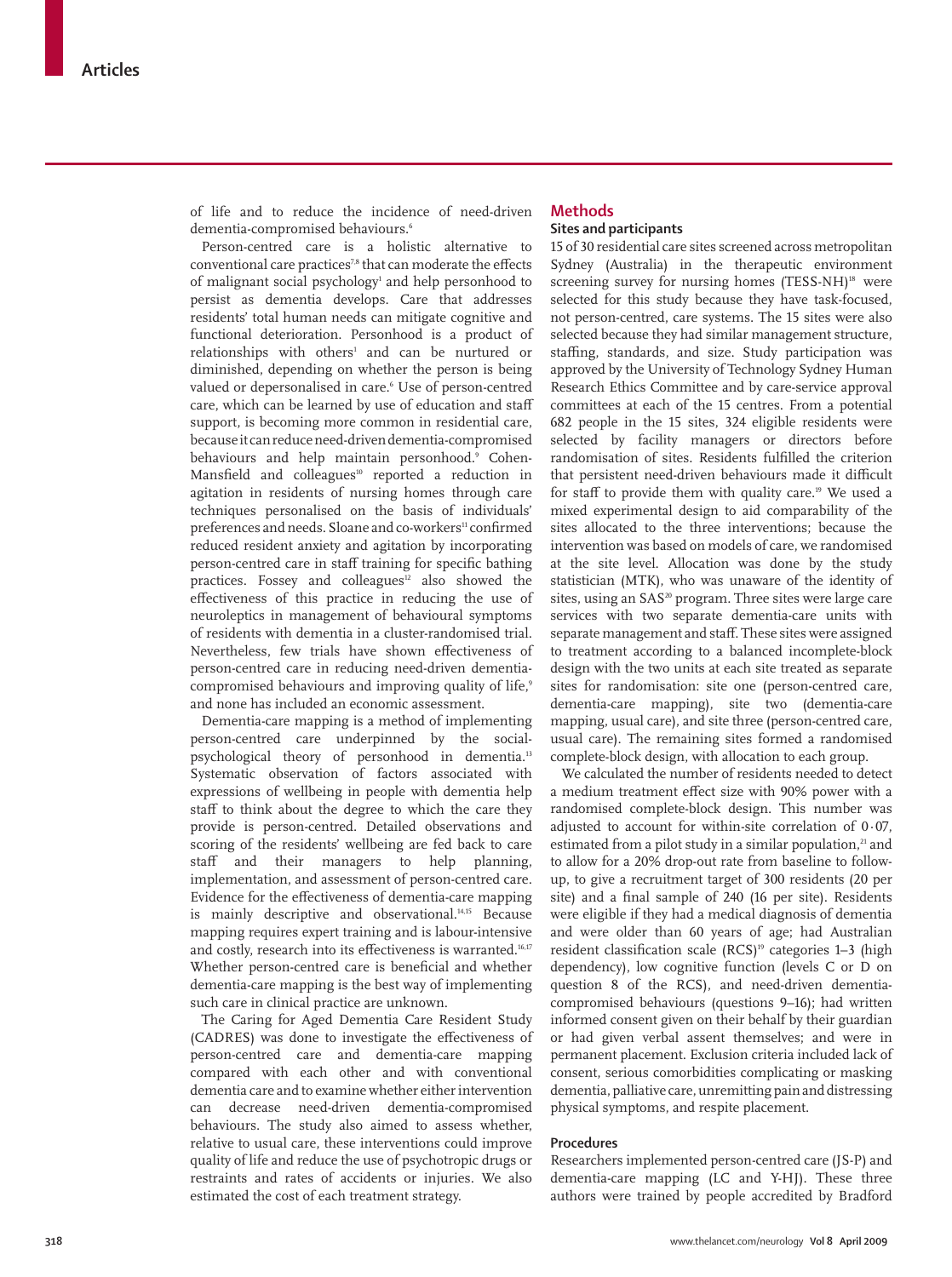of life and to reduce the incidence of need-driven dementia-compromised behaviours.<sup>6</sup>

Person-centred care is a holistic alternative to conventional care practices<sup>7,8</sup> that can moderate the effects of malignant social psychology<sup>1</sup> and help personhood to persist as dementia develops. Care that addresses residents' total human needs can mitigate cognitive and functional deterioration. Personhood is a product of relationships with others<sup>1</sup> and can be nurtured or diminished, depending on whether the person is being valued or depersonalised in care.6 Use of person-centred care, which can be learned by use of education and staff support, is becoming more common in residential care, because it can reduce need-driven dementia-compromised behaviours and help maintain personhood.9 Cohen-Mansfield and colleagues<sup>10</sup> reported a reduction in agitation in residents of nursing homes through care techniques personalised on the basis of individuals' preferences and needs. Sloane and co-workers<sup>11</sup> confirmed reduced resident anxiety and agitation by incorporating person-centred care in staff training for specific bathing practices. Fossey and colleagues<sup>12</sup> also showed the effectiveness of this practice in reducing the use of neuroleptics in management of behavioural symptoms of residents with dementia in a cluster-randomised trial. Nevertheless, few trials have shown effectiveness of person-centred care in reducing need-driven dementiacompromised behaviours and improving quality of life,<sup>9</sup> and none has included an economic assessment.

Dementia-care mapping is a method of implementing person-centred care underpinned by the socialpsychological theory of personhood in dementia.<sup>13</sup> Systematic observation of factors associated with expressions of wellbeing in people with dementia help staff to think about the degree to which the care they provide is person-centred. Detailed observations and scoring of the residents' wellbeing are fed back to care staff and their managers to help planning, implementation, and assessment of person-centred care. Evidence for the effectiveness of dementia-care mapping is mainly descriptive and observational.<sup>14,15</sup> Because mapping requires expert training and is labour-intensive and costly, research into its effectiveness is warranted.<sup>16,17</sup> Whether person-centred care is beneficial and whether dementia-care mapping is the best way of implementing such care in clinical practice are unknown.

The Caring for Aged Dementia Care Resident Study (CADRES) was done to investigate the effectiveness of person-centred care and dementia-care mapping compared with each other and with conventional dementia care and to examine whether either intervention can decrease need-driven dementia-compromised behaviours. The study also aimed to assess whether, relative to usual care, these interventions could improve quality of life and reduce the use of psychotropic drugs or restraints and rates of accidents or injuries. We also estimated the cost of each treatment strategy.

## **Methods Sites and participants**

15 of 30 residential care sites screened across metropolitan Sydney (Australia) in the therapeutic environment screening survey for nursing homes (TESS-NH)<sup>18</sup> were selected for this study because they have task-focused, not person-centred, care systems. The 15 sites were also selected because they had similar management structure, staffing, standards, and size. Study participation was approved by the University of Technology Sydney Human Research Ethics Committee and by care-service approval committees at each of the 15 centres. From a potential 682 people in the 15 sites, 324 eligible residents were selected by facility managers or directors before randomisation of sites. Residents fulfilled the criterion that persistent need-driven behaviours made it difficult for staff to provide them with quality care.<sup>19</sup> We used a mixed experimental design to aid comparability of the sites allocated to the three interventions; because the intervention was based on models of care, we randomised at the site level. Allocation was done by the study statistician (MTK), who was unaware of the identity of sites, using an SAS<sup>20</sup> program. Three sites were large care services with two separate dementia-care units with separate management and staff. These sites were assigned to treatment according to a balanced incomplete-block design with the two units at each site treated as separate sites for randomisation: site one (person-centred care, dementia-care mapping), site two (dementia-care mapping, usual care), and site three (person-centred care, usual care). The remaining sites formed a randomised complete-block design, with allocation to each group.

We calculated the number of residents needed to detect a medium treatment effect size with 90% power with a randomised complete-block design. This number was adjusted to account for within-site correlation of  $0.07$ . estimated from a pilot study in a similar population,<sup>21</sup> and to allow for a 20% drop-out rate from baseline to followup, to give a recruitment target of 300 residents (20 per site) and a final sample of 240 (16 per site). Residents were eligible if they had a medical diagnosis of dementia and were older than 60 years of age; had Australian resident classification scale (RCS)<sup>19</sup> categories 1–3 (high dependency), low cognitive function (levels C or D on question 8 of the RCS), and need-driven dementiacompromised behaviours (questions 9–16); had written informed consent given on their behalf by their guardian or had given verbal assent themselves; and were in permanent placement. Exclusion criteria included lack of consent, serious comorbidities complicating or masking dementia, palliative care, unremitting pain and distressing physical symptoms, and respite placement.

## **Procedures**

Researchers implemented person-centred care (JS-P) and dementia-care mapping (LC and Y-HJ). These three authors were trained by people accredited by Bradford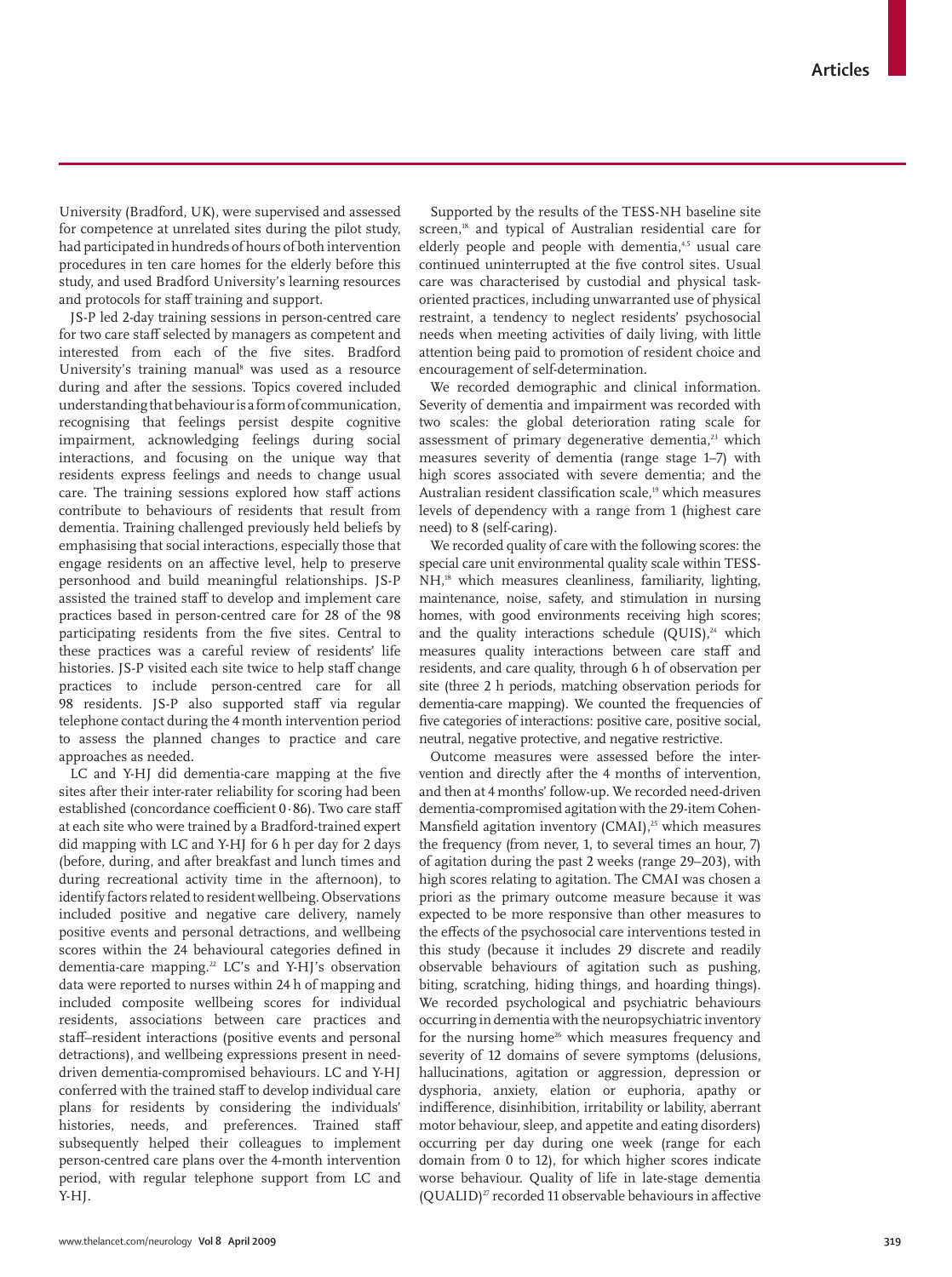University (Bradford, UK), were supervised and assessed for competence at unrelated sites during the pilot study, had participated in hundreds of hours of both intervention procedures in ten care homes for the elderly before this study, and used Bradford University's learning resources and protocols for staff training and support.

JS-P led 2-day training sessions in person-centred care for two care staff selected by managers as competent and interested from each of the five sites. Bradford University's training manual8 was used as a resource during and after the sessions. Topics covered included understanding that behaviour is a form of communication, recognising that feelings persist despite cognitive impairment, acknowledging feelings during social interactions, and focusing on the unique way that residents express feelings and needs to change usual care. The training sessions explored how staff actions contribute to behaviours of residents that result from dementia. Training challenged previously held beliefs by emphasising that social interactions, especially those that engage residents on an affective level, help to preserve personhood and build meaningful relationships. JS-P assisted the trained staff to develop and implement care practices based in person-centred care for 28 of the 98 participating residents from the five sites. Central to these practices was a careful review of residents' life histories. JS-P visited each site twice to help staff change practices to include person-centred care for all 98 residents. JS-P also supported staff via regular telephone contact during the 4 month intervention period to assess the planned changes to practice and care approaches as needed.

LC and Y-HJ did dementia-care mapping at the five sites after their inter-rater reliability for scoring had been established (concordance coefficient  $0.86$ ). Two care staff at each site who were trained by a Bradford-trained expert did mapping with LC and Y-HJ for 6 h per day for 2 days (before, during, and after breakfast and lunch times and during recreational activity time in the afternoon), to identify factors related to resident wellbeing. Observations included positive and negative care delivery, namely positive events and personal detractions, and wellbeing scores within the 24 behavioural categories defined in dementia-care mapping.22 LC's and Y-HJ's observation data were reported to nurses within 24 h of mapping and included composite wellbeing scores for individual residents, associations between care practices and staff –resident interactions (positive events and personal detractions), and wellbeing expressions present in needdriven dementia-compromised behaviours. LC and Y-HJ conferred with the trained staff to develop individual care plans for residents by considering the individuals' histories, needs, and preferences. Trained staff subsequently helped their colleagues to implement person-centred care plans over the 4-month intervention period, with regular telephone support from LC and Y-HJ.

Supported by the results of the TESS-NH baseline site screen,<sup>18</sup> and typical of Australian residential care for elderly people and people with dementia,<sup>4,5</sup> usual care continued uninterrupted at the five control sites. Usual care was characterised by custodial and physical taskoriented practices, including unwarranted use of physical restraint, a tendency to neglect residents' psychosocial needs when meeting activities of daily living, with little attention being paid to promotion of resident choice and encouragement of self-determination.

We recorded demographic and clinical information. Severity of dementia and impairment was recorded with two scales: the global deterioration rating scale for assessment of primary degenerative dementia,<sup>23</sup> which measures severity of dementia (range stage 1–7) with high scores associated with severe dementia; and the Australian resident classification scale,<sup>19</sup> which measures levels of dependency with a range from 1 (highest care need) to 8 (self-caring).

We recorded quality of care with the following scores: the special care unit environmental quality scale within TESS-NH,<sup>18</sup> which measures cleanliness, familiarity, lighting, maintenance, noise, safety, and stimulation in nursing homes, with good environments receiving high scores; and the quality interactions schedule  $(QUIS),<sup>24</sup>$  which measures quality interactions between care staff and residents, and care quality, through 6 h of observation per site (three 2 h periods, matching observation periods for dementia-care mapping). We counted the frequencies of five categories of interactions: positive care, positive social, neutral, negative protective, and negative restrictive.

Outcome measures were assessed before the intervention and directly after the 4 months of intervention, and then at 4 months' follow-up. We recorded need-driven dementia-compromised agitation with the 29-item Cohen-Mansfield agitation inventory (CMAI),<sup>25</sup> which measures the frequency (from never, 1, to several times an hour, 7) of agitation during the past 2 weeks (range 29–203), with high scores relating to agitation. The CMAI was chosen a priori as the primary outcome measure because it was expected to be more responsive than other measures to the effects of the psychosocial care interventions tested in this study (because it includes 29 discrete and readily observable behaviours of agitation such as pushing, biting, scratching, hiding things, and hoarding things). We recorded psychological and psychiatric behaviours occurring in dementia with the neuropsychiatric inventory for the nursing home<sup>26</sup> which measures frequency and severity of 12 domains of severe symptoms (delusions, hallucinations, agitation or aggression, depression or dysphoria, anxiety, elation or euphoria, apathy or indifference, disinhibition, irritability or lability, aberrant motor behaviour, sleep, and appetite and eating disorders) occurring per day during one week (range for each domain from 0 to 12), for which higher scores indicate worse behaviour. Quality of life in late-stage dementia  $(QUALID)^{27}$  recorded 11 observable behaviours in affective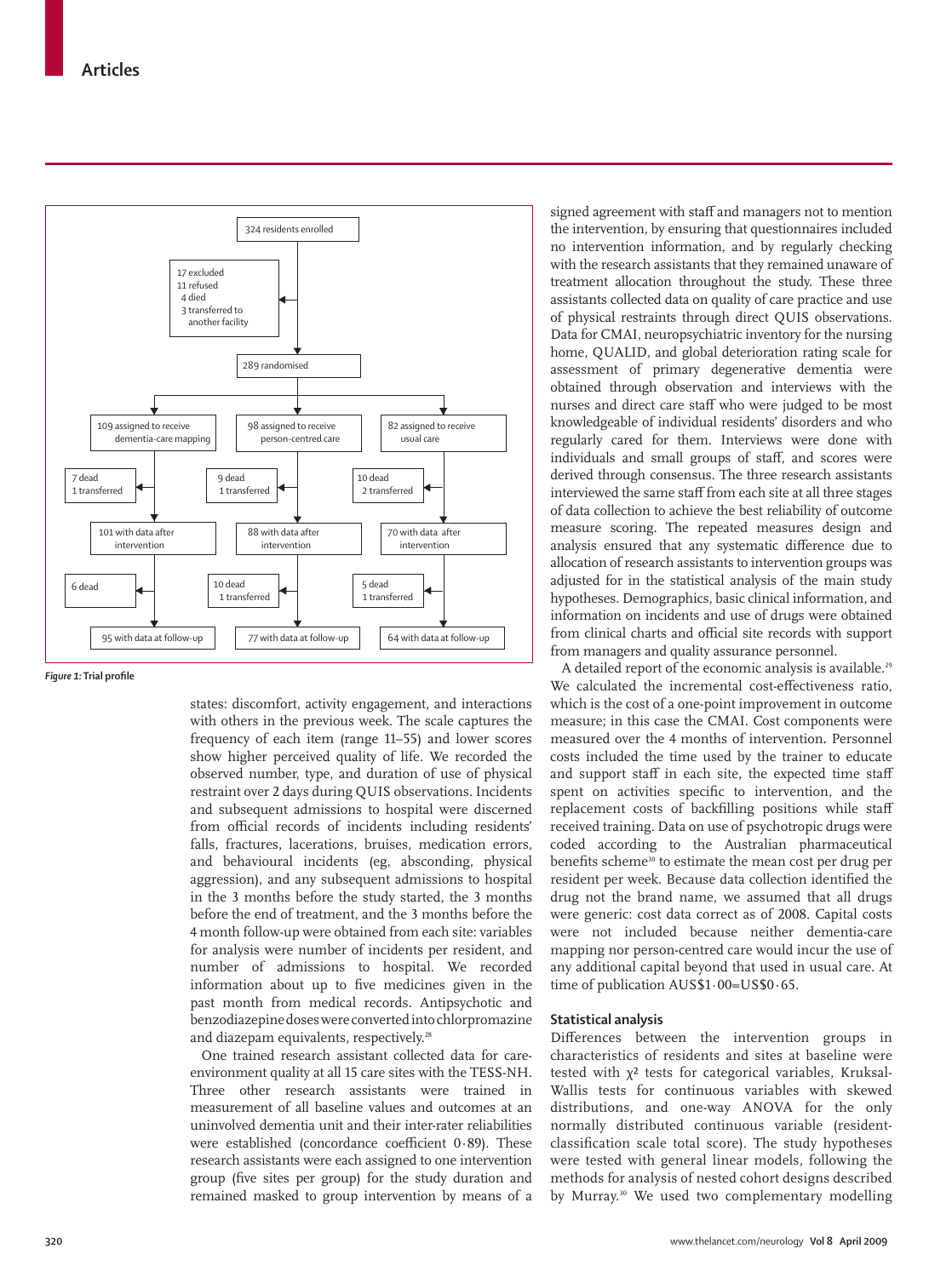

**Figure 1:** Trial profile

states: discomfort, activity engagement, and interactions with others in the previous week. The scale captures the frequency of each item (range 11–55) and lower scores show higher perceived quality of life. We recorded the observed number, type, and duration of use of physical restraint over 2 days during QUIS observations. Incidents and subsequent admissions to hospital were discerned from official records of incidents including residents' falls, fractures, lacerations, bruises, medication errors, and behavioural incidents (eg, absconding, physical aggression), and any subsequent admissions to hospital in the 3 months before the study started, the 3 months before the end of treatment, and the 3 months before the 4 month follow-up were obtained from each site: variables for analysis were number of incidents per resident, and number of admissions to hospital. We recorded information about up to five medicines given in the past month from medical records. Antipsychotic and benzodiazepine doses were converted into chlorpromazine and diazepam equivalents, respectively.<sup>28</sup>

One trained research assistant collected data for careenvironment quality at all 15 care sites with the TESS-NH. Three other research assistants were trained in measurement of all baseline values and outcomes at an uninvolved dementia unit and their inter-rater reliabilities were established (concordance coefficient  $0.89$ ). These research assistants were each assigned to one intervention group (five sites per group) for the study duration and remained masked to group intervention by means of a

signed agreement with staff and managers not to mention the intervention, by ensuring that questionnaires included no intervention information, and by regularly checking with the research assistants that they remained unaware of treatment allocation throughout the study. These three assistants collected data on quality of care practice and use of physical restraints through direct QUIS observations. Data for CMAI, neuropsychiatric inventory for the nursing home, QUALID, and global deterioration rating scale for assessment of primary degenerative dementia were obtained through observation and interviews with the nurses and direct care staff who were judged to be most knowledgeable of individual residents' disorders and who regularly cared for them. Interviews were done with individuals and small groups of staff, and scores were derived through consensus. The three research assistants interviewed the same staff from each site at all three stages of data collection to achieve the best reliability of outcome measure scoring. The repeated measures design and analysis ensured that any systematic difference due to allocation of research assistants to intervention groups was adjusted for in the statistical analysis of the main study hypotheses. Demographics, basic clinical information, and information on incidents and use of drugs were obtained from clinical charts and official site records with support from managers and quality assurance personnel.

A detailed report of the economic analysis is available.<sup>29</sup> We calculated the incremental cost-effectiveness ratio, which is the cost of a one-point improvement in outcome measure; in this case the CMAI. Cost components were measured over the 4 months of intervention**.** Personnel costs included the time used by the trainer to educate and support staff in each site, the expected time staff spent on activities specific to intervention, and the replacement costs of backfilling positions while staff received training. Data on use of psychotropic drugs were coded according to the Australian pharmaceutical benefits scheme<sup>30</sup> to estimate the mean cost per drug per resident per week. Because data collection identified the drug not the brand name, we assumed that all drugs were generic: cost data correct as of 2008. Capital costs were not included because neither dementia-care mapping nor person-centred care would incur the use of any additional capital beyond that used in usual care. At time of publication AUS\$1.00=US\$0.65.

## **Statistical analysis**

Differences between the intervention groups in characteristics of residents and sites at baseline were tested with  $\chi^2$  tests for categorical variables, Kruksal-Wallis tests for continuous variables with skewed distributions, and one-way ANOVA for the only normally distributed continuous variable (residentclassification scale total score). The study hypotheses were tested with general linear models, following the methods for analysis of nested cohort designs described by Murray.<sup>30</sup> We used two complementary modelling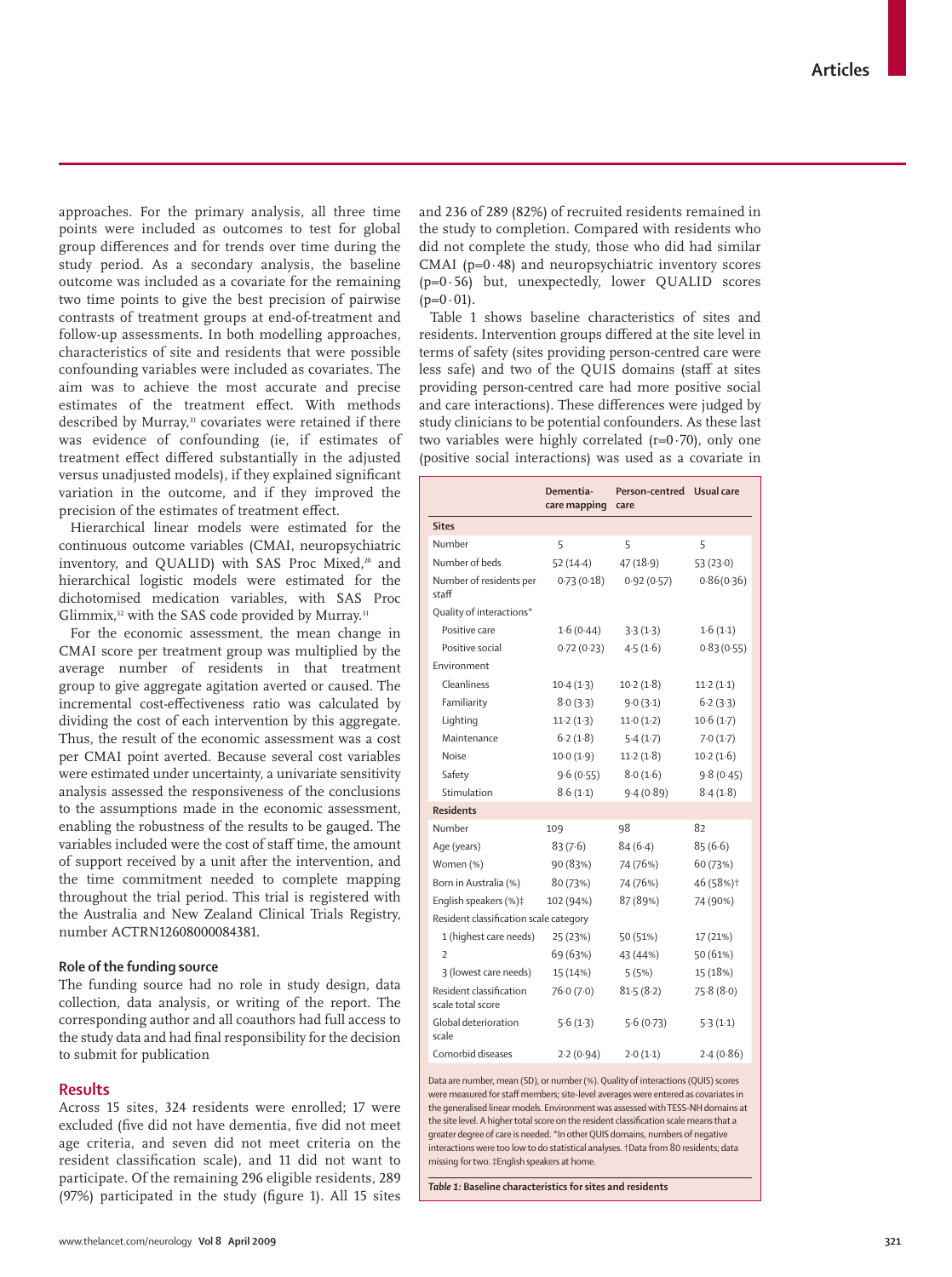approaches. For the primary analysis, all three time points were included as outcomes to test for global group differences and for trends over time during the study period. As a secondary analysis, the baseline outcome was included as a covariate for the remaining two time points to give the best precision of pairwise contrasts of treatment groups at end-of-treatment and follow-up assessments. In both modelling approaches, characteristics of site and residents that were possible confounding variables were included as covariates. The aim was to achieve the most accurate and precise estimates of the treatment effect. With methods described by Murray.<sup>31</sup> covariates were retained if there was evidence of confounding (ie, if estimates of treatment effect differed substantially in the adjusted versus unadjusted models), if they explained significant variation in the outcome, and if they improved the precision of the estimates of treatment effect.

Hierarchical linear models were estimated for the continuous outcome variables (CMAI, neuropsychiatric inventory, and QUALID) with SAS Proc Mixed,<sup>20</sup> and hierarchical logistic models were estimated for the dichotomised medication variables, with SAS Proc Glimmix,<sup>32</sup> with the SAS code provided by Murray.<sup>31</sup>

For the economic assessment, the mean change in CMAI score per treatment group was multiplied by the average number of residents in that treatment group to give aggregate agitation averted or caused. The incremental cost-effectiveness ratio was calculated by dividing the cost of each intervention by this aggregate. Thus, the result of the economic assessment was a cost per CMAI point averted. Because several cost variables were estimated under uncertainty, a univariate sensitivity analysis assessed the responsiveness of the conclusions to the assumptions made in the economic assessment, enabling the robustness of the results to be gauged. The variables included were the cost of staff time, the amount of support received by a unit after the intervention, and the time commitment needed to complete mapping throughout the trial period. This trial is registered with the Australia and New Zealand Clinical Trials Registry, number ACTRN12608000084381.

## **Role of the funding source**

The funding source had no role in study design, data collection, data analysis, or writing of the report. The corresponding author and all coauthors had full access to the study data and had final responsibility for the decision to submit for publication

### **Results**

Across 15 sites, 324 residents were enrolled; 17 were excluded (five did not have dementia, five did not meet age criteria, and seven did not meet criteria on the resident classification scale), and 11 did not want to participate. Of the remaining 296 eligible residents, 289  $(97%)$  participated in the study (figure 1). All 15 sites and 236 of 289 (82%) of recruited residents remained in the study to completion. Compared with residents who did not complete the study, those who did had similar CMAI ( $p=0.48$ ) and neuropsychiatric inventory scores  $(p=0.56)$  but, unexpectedly, lower QUALID scores  $(p=0.01)$ .

Table 1 shows baseline characteristics of sites and residents. Intervention groups differed at the site level in terms of safety (sites providing person-centred care were less safe) and two of the QUIS domains (staff at sites providing person-centred care had more positive social and care interactions). These differences were judged by study clinicians to be potential confounders. As these last two variables were highly correlated  $(r=0.70)$ , only one (positive social interactions) was used as a covariate in

|                                              | Dementia-<br>care mapping | Person-centred Usual care<br>care |                       |  |  |  |  |
|----------------------------------------------|---------------------------|-----------------------------------|-----------------------|--|--|--|--|
| <b>Sites</b>                                 |                           |                                   |                       |  |  |  |  |
| Number                                       | 5                         | 5                                 | 5                     |  |  |  |  |
| Number of beds                               | 52(14.4)                  | 47(18.9)                          | 53(23.0)              |  |  |  |  |
| Number of residents per<br>staff             | 0.73(0.18)                | 0.92(0.57)                        | 0.86(0.36)            |  |  |  |  |
| Quality of interactions*                     |                           |                                   |                       |  |  |  |  |
| Positive care                                | 1.6(0.44)<br>3.3(1.3)     |                                   | 1.6(1.1)              |  |  |  |  |
| Positive social                              | 0.72(0.23)                | 4.5(1.6)                          | 0.83(0.55)            |  |  |  |  |
| Environment                                  |                           |                                   |                       |  |  |  |  |
| Cleanliness                                  | $10-4(1-3)$               | 10.2(1.8)                         | 11.2(1.1)             |  |  |  |  |
| Familiarity                                  | 8.0(3.3)                  | 9.0(3.1)                          | 6.2(3.3)              |  |  |  |  |
| Lighting                                     | 11.2(1.3)                 | 11.0(1.2)                         | 10.6(1.7)             |  |  |  |  |
| Maintenance                                  | 6.2(1.8)                  | 5.4(1.7)                          | 7.0(1.7)              |  |  |  |  |
| Noise                                        | 10.0(1.9)                 | 11.2(1.8)                         | 10.2(1.6)             |  |  |  |  |
| Safety                                       | 9.6(0.55)                 | 8.0(1.6)                          | 9.8(0.45)             |  |  |  |  |
| Stimulation                                  | 8.6(1.1)                  | 9.4(0.89)                         | 8.4(1.8)              |  |  |  |  |
| <b>Residents</b>                             |                           |                                   |                       |  |  |  |  |
| Number                                       | 109                       | 98                                | 82                    |  |  |  |  |
| Age (years)                                  | 83(7.6)                   | 84(6.4)                           | 85(6.6)               |  |  |  |  |
| Women (%)                                    | 90 (83%)                  | 74 (76%)                          | 60 (73%)              |  |  |  |  |
| Born in Australia (%)                        | 80 (73%)                  | 74 (76%)                          | 46 (58%) <sup>+</sup> |  |  |  |  |
| English speakers (%)‡                        | 102 (94%)                 | 87 (89%)                          | 74 (90%)              |  |  |  |  |
| Resident classification scale category       |                           |                                   |                       |  |  |  |  |
| 1 (highest care needs)                       | 25 (23%)                  | 50 (51%)                          | 17 (21%)              |  |  |  |  |
| 2                                            | 69 (63%)                  | 43 (44%)                          | 50 (61%)              |  |  |  |  |
| 3 (lowest care needs)                        | 15 (14%)                  | 5(5%)                             | 15 (18%)              |  |  |  |  |
| Resident classification<br>scale total score | 76.0(7.0)                 | 81.5(8.2)                         | 75.8(8.0)             |  |  |  |  |
| Global deterioration<br>scale                | 5.6(1.3)                  | 5.6(0.73)                         | 5.3(1.1)              |  |  |  |  |
| Comorbid diseases                            | 2.2(0.94)                 | 2.0(1.1)                          | 2.4(0.86)             |  |  |  |  |

Data are number, mean (SD), or number (%). Quality of interactions (QUIS) scores were measured for staff members; site-level averages were entered as covariates in the generalised linear models. Environment was assessed with TESS-NH domains at the site level. A higher total score on the resident classification scale means that a greater degree of care is needed. \*In other QUIS domains, numbers of negative interactions were too low to do statistical analyses. †Data from 80 residents; data missing for two. ‡English speakers at home.

*Table 1:* **Baseline characteristics for sites and residents**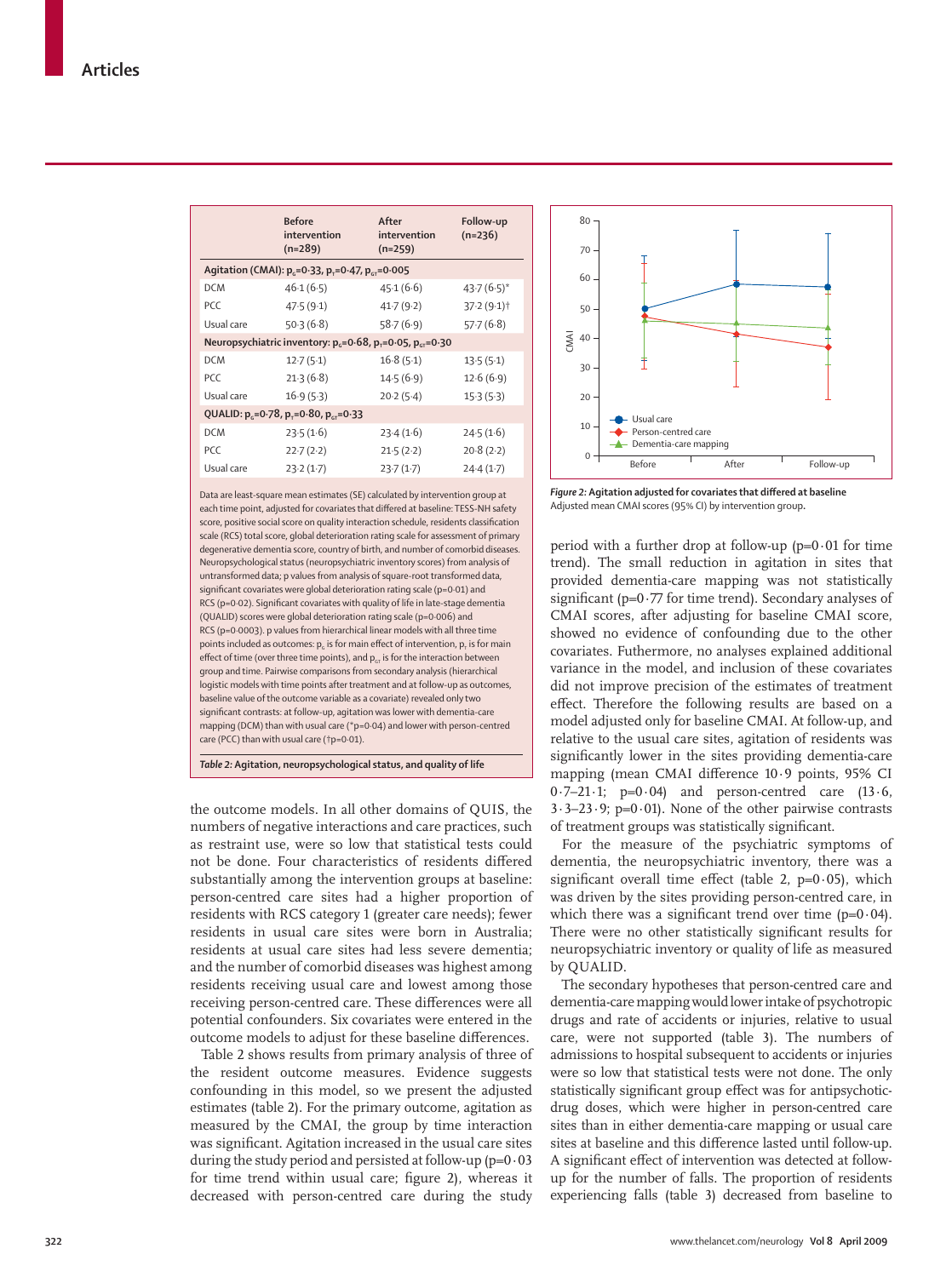|                                                                           | <b>Before</b><br>intervention<br>$(n=289)$ | After<br>intervention<br>$(n=259)$ | Follow-up<br>$(n=236)$   |  |  |  |
|---------------------------------------------------------------------------|--------------------------------------------|------------------------------------|--------------------------|--|--|--|
| Agitation (CMAI): $p_c = 0.33$ , $p_r = 0.47$ , $p_{cr} = 0.005$          |                                            |                                    |                          |  |  |  |
| <b>DCM</b>                                                                | 46.1(6.5)                                  | 45.1(6.6)                          | $43.7(6.5)$ *            |  |  |  |
| <b>PCC</b>                                                                | 47.5(9.1)                                  | 41.7(9.2)                          | $37.2(9.1)$ <sup>†</sup> |  |  |  |
| Usual care                                                                | 50.3(6.8)                                  | 58.7(6.9)                          | 57.7(6.8)                |  |  |  |
| Neuropsychiatric inventory: $p_c = 0.68$ , $p_r = 0.05$ , $p_{cr} = 0.30$ |                                            |                                    |                          |  |  |  |
| <b>DCM</b>                                                                | 12.7(5.1)                                  | 16.8(5.1)                          | 13.5(5.1)                |  |  |  |
| <b>PCC</b>                                                                | 21.3(6.8)                                  | 14.5(6.9)                          | 12.6(6.9)                |  |  |  |
| Usual care                                                                | 16.9(5.3)                                  | 20.2(5.4)                          | 15.3(5.3)                |  |  |  |
| QUALID: $p_c = 0.78$ , $p_T = 0.80$ , $p_{cr} = 0.33$                     |                                            |                                    |                          |  |  |  |
| <b>DCM</b>                                                                | 23.5(1.6)                                  | 23.4(1.6)                          | 24.5(1.6)                |  |  |  |
| <b>PCC</b>                                                                | 22.7(2.2)                                  | 21.5(2.2)                          | 20.8(2.2)                |  |  |  |
| Usual care                                                                | 23.2(1.7)                                  | 23.7(1.7)                          | 24.4(1.7)                |  |  |  |

Data are least-square mean estimates (SE) calculated by intervention group at each time point, adjusted for covariates that differed at baseline: TESS-NH safety score, positive social score on quality interaction schedule, residents classification scale (RCS) total score, global deterioration rating scale for assessment of primary degenerative dementia score, country of birth, and number of comorbid diseases. Neuropsychological status (neuropsychiatric inventory scores) from analysis of untransformed data; p values from analysis of square-root transformed data, significant covariates were global deterioration rating scale (p=0.01) and RCS (p=0·02). Significant covariates with quality of life in late-stage dementia (QUALID) scores were global deterioration rating scale (p=0·006) and RCS (p=0·0003). p values from hierarchical linear models with all three time points included as outcomes:  $p_{G}$  is for main effect of intervention,  $p_{T}$  is for main effect of time (over three time points), and  $p_{\text{GT}}$  is for the interaction between group and time. Pairwise comparisons from secondary analysis (hierarchical logistic models with time points after treatment and at follow-up as outcomes, baseline value of the outcome variable as a covariate) revealed only two signifi cant contrasts: at follow-up, agitation was lower with dementia-care mapping (DCM) than with usual care (\*p=0·04) and lower with person-centred care (PCC) than with usual care (†p=0·01).

*Table 2:* **Agitation, neuropsychological status, and quality of life**

the outcome models. In all other domains of QUIS, the numbers of negative interactions and care practices, such as restraint use, were so low that statistical tests could not be done. Four characteristics of residents differed substantially among the intervention groups at baseline: person-centred care sites had a higher proportion of residents with RCS category 1 (greater care needs); fewer residents in usual care sites were born in Australia; residents at usual care sites had less severe dementia; and the number of comorbid diseases was highest among residents receiving usual care and lowest among those receiving person-centred care. These differences were all potential confounders. Six covariates were entered in the outcome models to adjust for these baseline differences.

Table 2 shows results from primary analysis of three of the resident outcome measures. Evidence suggests confounding in this model, so we present the adjusted estimates (table 2). For the primary outcome, agitation as measured by the CMAI, the group by time interaction was significant. Agitation increased in the usual care sites during the study period and persisted at follow-up ( $p=0.03$ ) for time trend within usual care; figure 2), whereas it decreased with person-centred care during the study



**Figure 2:** Agitation adjusted for covariates that differed at baseline Adjusted mean CMAI scores (95% CI) by intervention group**.**

period with a further drop at follow-up  $(p=0.01$  for time trend). The small reduction in agitation in sites that provided dementia-care mapping was not statistically significant ( $p=0.77$  for time trend). Secondary analyses of CMAI scores, after adjusting for baseline CMAI score, showed no evidence of confounding due to the other covariates. Futhermore, no analyses explained additional variance in the model, and inclusion of these covariates did not improve precision of the estimates of treatment effect. Therefore the following results are based on a model adjusted only for baseline CMAI. At follow-up, and relative to the usual care sites, agitation of residents was significantly lower in the sites providing dementia-care mapping (mean CMAI difference  $10.9$  points,  $95\%$  CI  $0.7-21.1$ ;  $p=0.04$ ) and person-centred care (13.6,  $3.3-23.9$ ; p=0.01). None of the other pairwise contrasts of treatment groups was statistically significant.

For the measure of the psychiatric symptoms of dementia, the neuropsychiatric inventory, there was a significant overall time effect (table 2,  $p=0.05$ ), which was driven by the sites providing person-centred care, in which there was a significant trend over time  $(p=0.04)$ . There were no other statistically significant results for neuropsychiatric inventory or quality of life as measured by QUALID.

The secondary hypotheses that person-centred care and dementia-care mapping would lower intake of psychotropic drugs and rate of accidents or injuries, relative to usual care, were not supported (table 3). The numbers of admissions to hospital subsequent to accidents or injuries were so low that statistical tests were not done. The only statistically significant group effect was for antipsychoticdrug doses, which were higher in person-centred care sites than in either dementia-care mapping or usual care sites at baseline and this difference lasted until follow-up. A significant effect of intervention was detected at followup for the number of falls. The proportion of residents experiencing falls (table 3) decreased from baseline to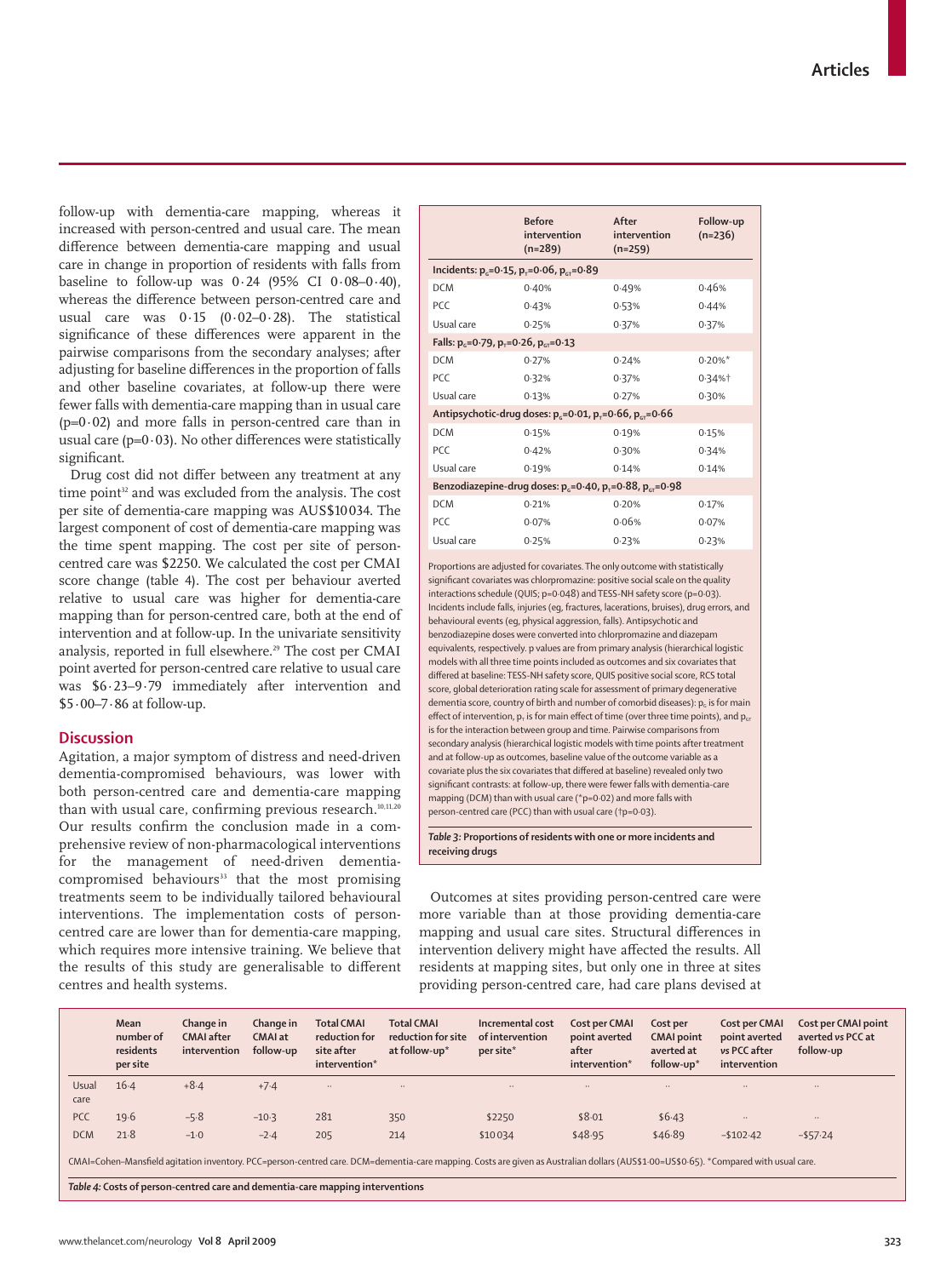follow-up with dementia-care mapping, whereas it increased with person-centred and usual care. The mean difference between dementia-care mapping and usual care in change in proportion of residents with falls from baseline to follow-up was  $0.24$  (95% CI  $0.08-0.40$ ), whereas the difference between person-centred care and usual care was 0·15 (0·02–0·28). The statistical significance of these differences were apparent in the pairwise comparisons from the secondary analyses; after adjusting for baseline differences in the proportion of falls and other baseline covariates, at follow-up there were fewer falls with dementia-care mapping than in usual care  $(p=0.02)$  and more falls in person-centred care than in usual care ( $p=0.03$ ). No other differences were statistically significant.

Drug cost did not differ between any treatment at any time point<sup>32</sup> and was excluded from the analysis. The cost per site of dementia-care mapping was AUS\$10 034. The largest component of cost of dementia-care mapping was the time spent mapping. The cost per site of personcentred care was \$2250. We calculated the cost per CMAI score change (table 4). The cost per behaviour averted relative to usual care was higher for dementia-care mapping than for person-centred care, both at the end of intervention and at follow-up. In the univariate sensitivity analysis, reported in full elsewhere.<sup>29</sup> The cost per CMAI point averted for person-centred care relative to usual care was \$6·23–9·79 immediately after intervention and \$5·00–7·86 at follow-up.

## **Discussion**

Agitation, a major symptom of distress and need-driven dementia-compromised behaviours, was lower with both person-centred care and dementia-care mapping than with usual care, confirming previous research. $10,11,20$ Our results confirm the conclusion made in a comprehensive review of non-pharmacological interventions for the management of need-driven dementiacompromised behaviours<sup>33</sup> that the most promising treatments seem to be individually tailored behavioural interventions. The implementation costs of personcentred care are lower than for dementia-care mapping, which requires more intensive training. We believe that the results of this study are generalisable to different centres and health systems.

|                                                                          | <b>Before</b><br>intervention<br>$(n=289)$ | After<br>intervention<br>$(n=259)$ | Follow-up<br>$(n=236)$ |  |  |  |
|--------------------------------------------------------------------------|--------------------------------------------|------------------------------------|------------------------|--|--|--|
| Incidents: $p_c = 0.15$ , $p_r = 0.06$ , $p_{cr} = 0.89$                 |                                            |                                    |                        |  |  |  |
| <b>DCM</b>                                                               | 0.40%                                      | 0.49%                              | 0.46%                  |  |  |  |
| <b>PCC</b>                                                               | 0.43%                                      | 0.53%                              | 0.44%                  |  |  |  |
| Usual care                                                               | 0.25%                                      | 0.37%                              | 0.37%                  |  |  |  |
| Falls: $p_c = 0.79$ , $p_r = 0.26$ , $p_{cr} = 0.13$                     |                                            |                                    |                        |  |  |  |
| <b>DCM</b>                                                               | 0.27%                                      | 0.24%                              | $0.20\%$ *             |  |  |  |
| <b>PCC</b>                                                               | 0.32%                                      | 0.37%                              | $0.34%$ †              |  |  |  |
| Usual care                                                               | 0.13%                                      | 0.27%                              | 0.30%                  |  |  |  |
| Antipsychotic-drug doses: $p_c = 0.01$ , $p_T = 0.66$ , $p_{cT} = 0.66$  |                                            |                                    |                        |  |  |  |
| <b>DCM</b>                                                               | 0.15%                                      | 0.19%                              | 0.15%                  |  |  |  |
| <b>PCC</b>                                                               | 0.42%                                      | 0.30%                              | 0.34%                  |  |  |  |
| Usual care                                                               | 0.19%                                      | 0.14%                              | 0.14%                  |  |  |  |
| Benzodiazepine-drug doses: $p_c = 0.40$ , $p_r = 0.88$ , $p_{cr} = 0.98$ |                                            |                                    |                        |  |  |  |
| <b>DCM</b>                                                               | 0.21%                                      | 0.20%                              | 0.17%                  |  |  |  |
| <b>PCC</b>                                                               | 0.07%                                      | 0.06%                              | 0.07%                  |  |  |  |
| Usual care                                                               | 0.25%                                      | 0.23%                              | 0.23%                  |  |  |  |

Proportions are adjusted for covariates. The only outcome with statistically signifi cant covariates was chlorpromazine: positive social scale on the quality interactions schedule (QUIS; p=0·048) and TESS-NH safety score (p=0·03). Incidents include falls, injuries (eg, fractures, lacerations, bruises), drug errors, and behavioural events (eg, physical aggression, falls). Antipsychotic and benzodiazepine doses were converted into chlorpromazine and diazepam equivalents, respectively. p values are from primary analysis (hierarchical logistic models with all three time points included as outcomes and six covariates that differed at baseline: TESS-NH safety score, QUIS positive social score, RCS total score, global deterioration rating scale for assessment of primary degenerative dementia score, country of birth and number of comorbid diseases):  $p_6$  is for main effect of intervention,  $p<sub>r</sub>$  is for main effect of time (over three time points), and  $p<sub>cr</sub>$ is for the interaction between group and time. Pairwise comparisons from secondary analysis (hierarchical logistic models with time points after treatment and at follow-up as outcomes, baseline value of the outcome variable as a covariate plus the six covariates that differed at baseline) revealed only two significant contrasts: at follow-up, there were fewer falls with dementia-care mapping (DCM) than with usual care (\*p=0·02) and more falls with person-centred care (PCC) than with usual care (†p=0·03).

*Table 3:* **Proportions of residents with one or more incidents and receiving drugs**

Outcomes at sites providing person-centred care were more variable than at those providing dementia-care mapping and usual care sites. Structural differences in intervention delivery might have affected the results. All residents at mapping sites, but only one in three at sites providing person-centred care, had care plans devised at

|                                                                                                                                                                                      | Mean<br>number of<br>residents<br>per site | Change in<br><b>CMAI</b> after<br>intervention | Change in<br><b>CMAI</b> at<br>follow-up | <b>Total CMAI</b><br>reduction for<br>site after<br>intervention* | <b>Total CMAI</b><br>reduction for site<br>at follow-up* | Incremental cost<br>of intervention<br>per site* | Cost per CMAI<br>point averted<br>after<br>intervention* | Cost per<br><b>CMAI</b> point<br>averted at<br>follow-up* | Cost per CMAI<br>point averted<br>vs PCC after<br>intervention | Cost per CMAI point<br>averted vs PCC at<br>follow-up |
|--------------------------------------------------------------------------------------------------------------------------------------------------------------------------------------|--------------------------------------------|------------------------------------------------|------------------------------------------|-------------------------------------------------------------------|----------------------------------------------------------|--------------------------------------------------|----------------------------------------------------------|-----------------------------------------------------------|----------------------------------------------------------------|-------------------------------------------------------|
| Usual<br>care                                                                                                                                                                        | $16-4$                                     | $+8.4$                                         | $+7.4$                                   | $\cdots$                                                          | $\cdots$                                                 | $\cdots$                                         | $\cdot$                                                  | $\cdots$                                                  | $\cdot$                                                        | $\cdots$                                              |
| PCC                                                                                                                                                                                  | 19.6                                       | $-5.8$                                         | $-10.3$                                  | 281                                                               | 350                                                      | \$2250                                           | \$8.01                                                   | \$6.43                                                    | $\cdot$                                                        | $\cdots$                                              |
| <b>DCM</b>                                                                                                                                                                           | 21.8                                       | $-1.0$                                         | $-2.4$                                   | 205                                                               | 214                                                      | \$10034                                          | \$48.95                                                  | \$46.89                                                   | $-$102.42$                                                     | $-$ \$57 $\cdot$ 24                                   |
| CMAI=Cohen-Mansfield agitation inventory. PCC=person-centred care. DCM=dementia-care mapping. Costs are given as Australian dollars (AUS\$1-00=US\$0-65). *Compared with usual care. |                                            |                                                |                                          |                                                                   |                                                          |                                                  |                                                          |                                                           |                                                                |                                                       |

*Table 4:* **Costs of person-centred care and dementia-care mapping interventions**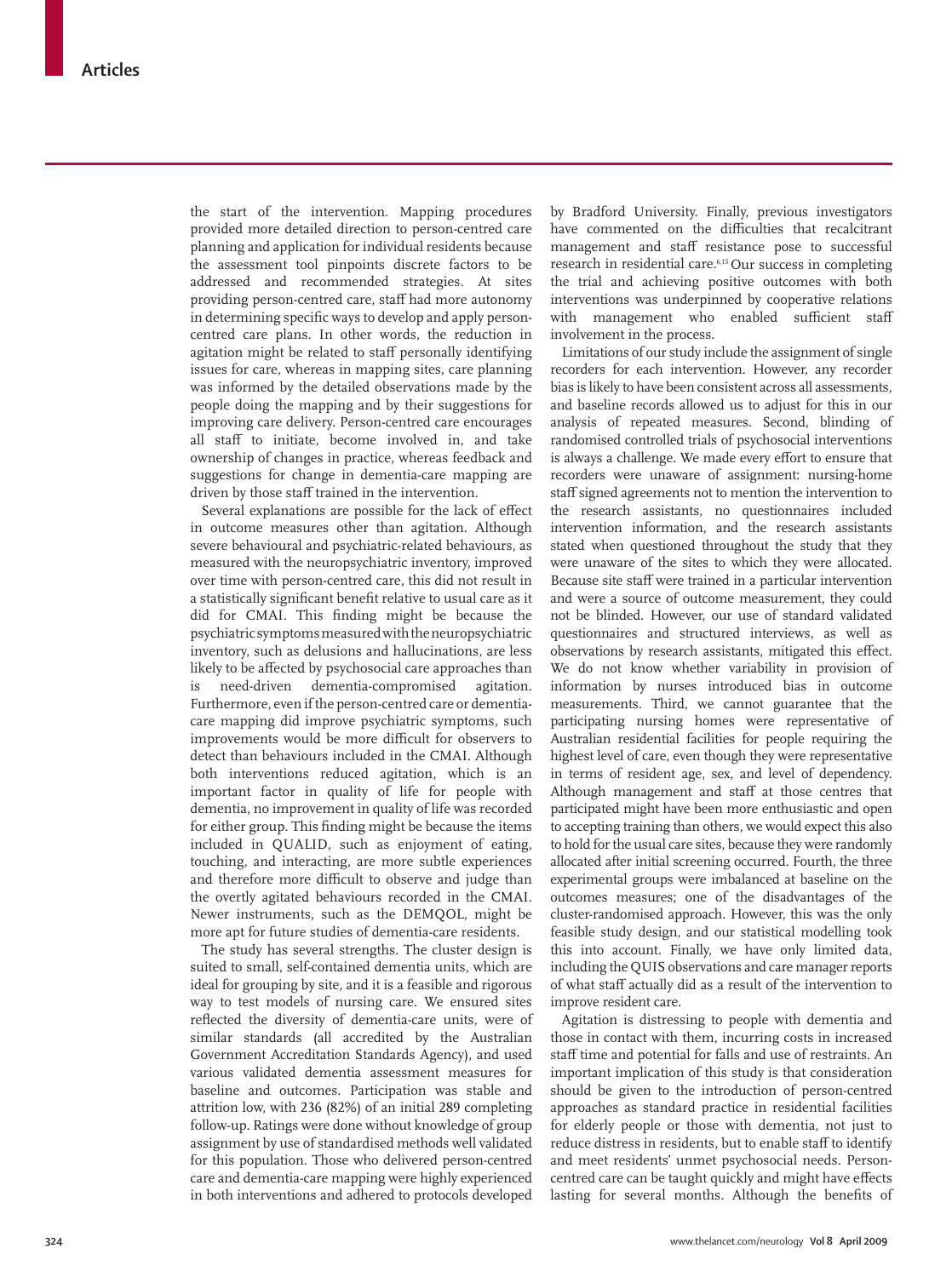the start of the intervention. Mapping procedures provided more detailed direction to person-centred care planning and application for individual residents because the assessment tool pinpoints discrete factors to be addressed and recommended strategies. At sites providing person-centred care, staff had more autonomy in determining specific ways to develop and apply personcentred care plans. In other words, the reduction in agitation might be related to staff personally identifying issues for care, whereas in mapping sites, care planning was informed by the detailed observations made by the people doing the mapping and by their suggestions for improving care delivery. Person-centred care encourages all staff to initiate, become involved in, and take ownership of changes in practice, whereas feedback and suggestions for change in dementia-care mapping are driven by those staff trained in the intervention.

Several explanations are possible for the lack of effect in outcome measures other than agitation. Although severe behavioural and psychiatric-related behaviours, as measured with the neuropsychiatric inventory, improved over time with person-centred care, this did not result in a statistically significant benefit relative to usual care as it did for CMAI. This finding might be because the psychiatric symptoms measured with the neuropsychiatric inventory, such as delusions and hallucinations, are less likely to be affected by psychosocial care approaches than is need-driven dementia-compromised agitation. Furthermore, even if the person-centred care or dementiacare mapping did improve psychiatric symptoms, such improvements would be more difficult for observers to detect than behaviours included in the CMAI. Although both interventions reduced agitation, which is an important factor in quality of life for people with dementia, no improvement in quality of life was recorded for either group. This finding might be because the items included in QUALID, such as enjoyment of eating, touching, and interacting, are more subtle experiences and therefore more difficult to observe and judge than the overtly agitated behaviours recorded in the CMAI. Newer instruments, such as the DEMQOL, might be more apt for future studies of dementia-care residents.

The study has several strengths. The cluster design is suited to small, self-contained dementia units, which are ideal for grouping by site, and it is a feasible and rigorous way to test models of nursing care. We ensured sites reflected the diversity of dementia-care units, were of similar standards (all accredited by the Australian Government Accreditation Standards Agency), and used various validated dementia assessment measures for baseline and outcomes. Participation was stable and attrition low, with 236 (82%) of an initial 289 completing follow-up. Ratings were done without knowledge of group assignment by use of standardised methods well validated for this population. Those who delivered person-centred care and dementia-care mapping were highly experienced in both interventions and adhered to protocols developed by Bradford University. Finally, previous investigators have commented on the difficulties that recalcitrant management and staff resistance pose to successful research in residential care.6,15 Our success in completing the trial and achieving positive outcomes with both interventions was underpinned by cooperative relations with management who enabled sufficient staff involvement in the process.

Limitations of our study include the assignment of single recorders for each intervention. However, any recorder bias is likely to have been consistent across all assessments, and baseline records allowed us to adjust for this in our analysis of repeated measures. Second, blinding of randomised controlled trials of psychosocial interventions is always a challenge. We made every effort to ensure that recorders were unaware of assignment: nursing-home staff signed agreements not to mention the intervention to the research assistants, no questionnaires included intervention information, and the research assistants stated when questioned throughout the study that they were unaware of the sites to which they were allocated. Because site staff were trained in a particular intervention and were a source of outcome measurement, they could not be blinded. However, our use of standard validated questionnaires and structured interviews, as well as observations by research assistants, mitigated this effect. We do not know whether variability in provision of information by nurses introduced bias in outcome measurements. Third, we cannot guarantee that the participating nursing homes were representative of Australian residential facilities for people requiring the highest level of care, even though they were representative in terms of resident age, sex, and level of dependency. Although management and staff at those centres that participated might have been more enthusiastic and open to accepting training than others, we would expect this also to hold for the usual care sites, because they were randomly allocated after initial screening occurred. Fourth, the three experimental groups were imbalanced at baseline on the outcomes measures; one of the disadvantages of the cluster-randomised approach. However, this was the only feasible study design, and our statistical modelling took this into account. Finally, we have only limited data, including the QUIS observations and care manager reports of what staff actually did as a result of the intervention to improve resident care.

Agitation is distressing to people with dementia and those in contact with them, incurring costs in increased staff time and potential for falls and use of restraints. An important implication of this study is that consideration should be given to the introduction of person-centred approaches as standard practice in residential facilities for elderly people or those with dementia, not just to reduce distress in residents, but to enable staff to identify and meet residents' unmet psychosocial needs. Personcentred care can be taught quickly and might have effects lasting for several months. Although the benefits of